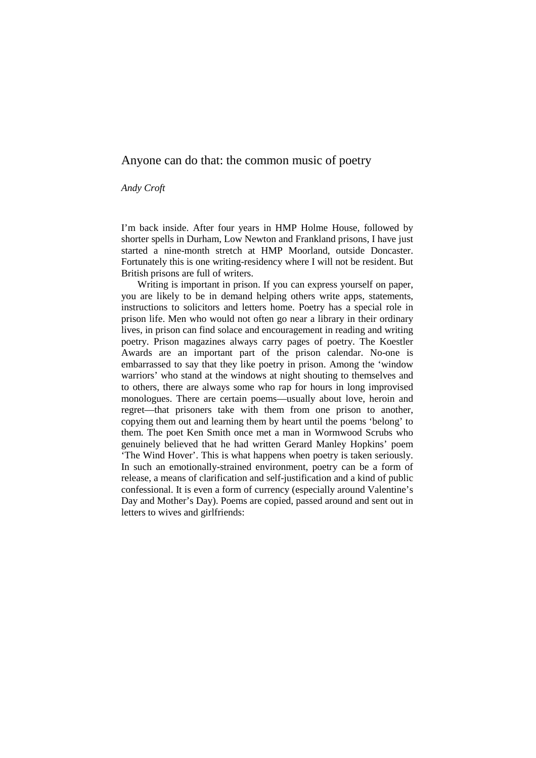# Anyone can do that: the common music of poetry

*Andy Croft* 

I'm back inside. After four years in HMP Holme House, followed by shorter spells in Durham, Low Newton and Frankland prisons, I have just started a nine-month stretch at HMP Moorland, outside Doncaster. Fortunately this is one writing-residency where I will not be resident. But British prisons are full of writers.

Writing is important in prison. If you can express yourself on paper, you are likely to be in demand helping others write apps, statements, instructions to solicitors and letters home. Poetry has a special role in prison life. Men who would not often go near a library in their ordinary lives, in prison can find solace and encouragement in reading and writing poetry. Prison magazines always carry pages of poetry. The Koestler Awards are an important part of the prison calendar. No-one is embarrassed to say that they like poetry in prison. Among the 'window warriors' who stand at the windows at night shouting to themselves and to others, there are always some who rap for hours in long improvised monologues. There are certain poems—usually about love, heroin and regret—that prisoners take with them from one prison to another, copying them out and learning them by heart until the poems 'belong' to them. The poet Ken Smith once met a man in Wormwood Scrubs who genuinely believed that he had written Gerard Manley Hopkins' poem 'The Wind Hover'. This is what happens when poetry is taken seriously. In such an emotionally-strained environment, poetry can be a form of release, a means of clarification and self-justification and a kind of public confessional. It is even a form of currency (especially around Valentine's Day and Mother's Day). Poems are copied, passed around and sent out in letters to wives and girlfriends: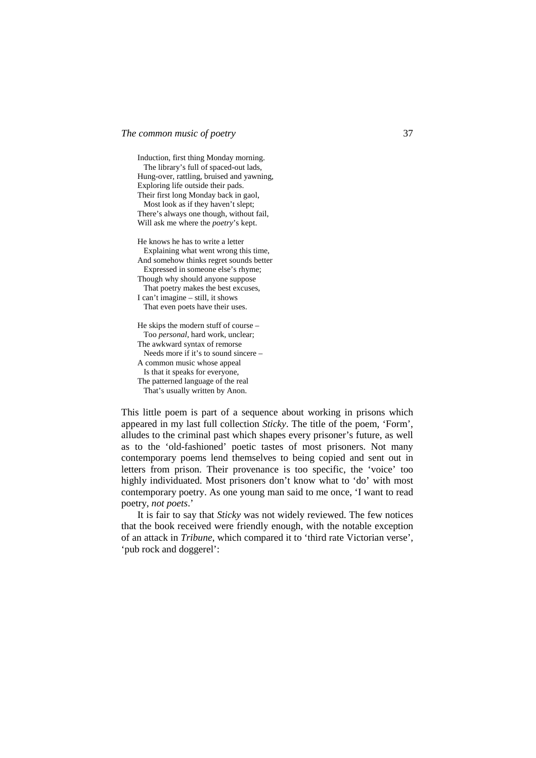Induction, first thing Monday morning. The library's full of spaced-out lads, Hung-over, rattling, bruised and yawning, Exploring life outside their pads.

Their first long Monday back in gaol, Most look as if they haven't slept; There's always one though, without fail,

- Will ask me where the *poetry*'s kept.
- He knows he has to write a letter Explaining what went wrong this time, And somehow thinks regret sounds better Expressed in someone else's rhyme;

Though why should anyone suppose

 That poetry makes the best excuses, I can't imagine – still, it shows

That even poets have their uses.

He skips the modern stuff of course – Too *personal*, hard work, unclear; The awkward syntax of remorse

Needs more if it's to sound sincere –

A common music whose appeal

 Is that it speaks for everyone, The patterned language of the real

That's usually written by Anon.

This little poem is part of a sequence about working in prisons which appeared in my last full collection *Sticky*. The title of the poem, 'Form', alludes to the criminal past which shapes every prisoner's future, as well as to the 'old-fashioned' poetic tastes of most prisoners. Not many contemporary poems lend themselves to being copied and sent out in letters from prison. Their provenance is too specific, the 'voice' too highly individuated. Most prisoners don't know what to 'do' with most contemporary poetry. As one young man said to me once, 'I want to read poetry, *not poets*.'

It is fair to say that *Sticky* was not widely reviewed. The few notices that the book received were friendly enough, with the notable exception of an attack in *Tribune*, which compared it to 'third rate Victorian verse', 'pub rock and doggerel':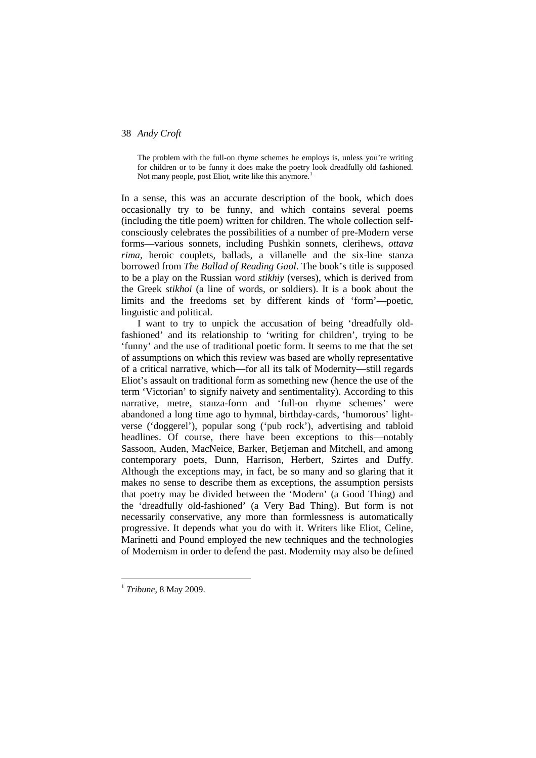The problem with the full-on rhyme schemes he employs is, unless you're writing for children or to be funny it does make the poetry look dreadfully old fashioned. Not many people, post Eliot, write like this anymore.<sup>1</sup>

In a sense, this was an accurate description of the book, which does occasionally try to be funny, and which contains several poems (including the title poem) written for children. The whole collection selfconsciously celebrates the possibilities of a number of pre-Modern verse forms—various sonnets, including Pushkin sonnets, clerihews, *ottava rima*, heroic couplets, ballads, a villanelle and the six-line stanza borrowed from *The Ballad of Reading Gaol*. The book's title is supposed to be a play on the Russian word *stikhiy* (verses), which is derived from the Greek *stikhoi* (a line of words, or soldiers). It is a book about the limits and the freedoms set by different kinds of 'form'—poetic, linguistic and political.

I want to try to unpick the accusation of being 'dreadfully oldfashioned' and its relationship to 'writing for children', trying to be 'funny' and the use of traditional poetic form. It seems to me that the set of assumptions on which this review was based are wholly representative of a critical narrative, which—for all its talk of Modernity—still regards Eliot's assault on traditional form as something new (hence the use of the term 'Victorian' to signify naivety and sentimentality). According to this narrative, metre, stanza-form and 'full-on rhyme schemes' were abandoned a long time ago to hymnal, birthday-cards, 'humorous' lightverse ('doggerel'), popular song ('pub rock'), advertising and tabloid headlines. Of course, there have been exceptions to this—notably Sassoon, Auden, MacNeice, Barker, Betjeman and Mitchell, and among contemporary poets, Dunn, Harrison, Herbert, Szirtes and Duffy. Although the exceptions may, in fact, be so many and so glaring that it makes no sense to describe them as exceptions, the assumption persists that poetry may be divided between the 'Modern' (a Good Thing) and the 'dreadfully old-fashioned' (a Very Bad Thing). But form is not necessarily conservative, any more than formlessness is automatically progressive. It depends what you do with it. Writers like Eliot, Celine, Marinetti and Pound employed the new techniques and the technologies of Modernism in order to defend the past. Modernity may also be defined

 $\overline{a}$ 

<sup>1</sup> *Tribune*, 8 May 2009.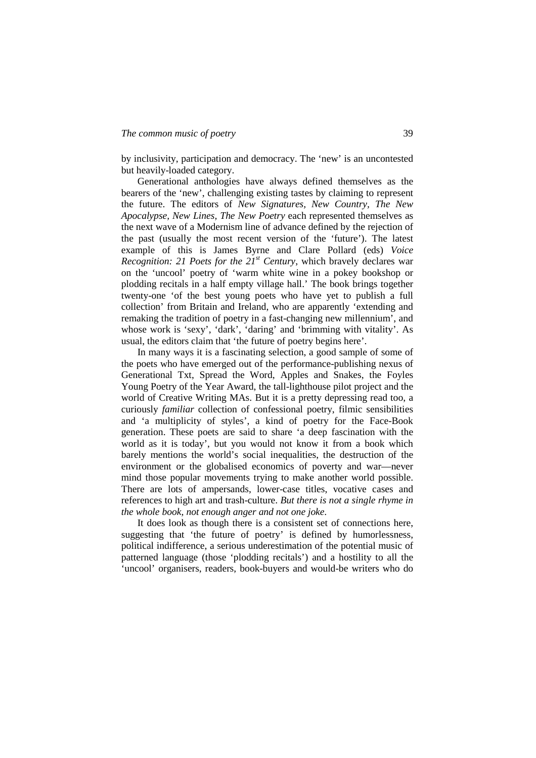by inclusivity, participation and democracy. The 'new' is an uncontested but heavily-loaded category.

Generational anthologies have always defined themselves as the bearers of the 'new', challenging existing tastes by claiming to represent the future. The editors of *New Signatures, New Country, The New Apocalypse, New Lines, The New Poetry* each represented themselves as the next wave of a Modernism line of advance defined by the rejection of the past (usually the most recent version of the 'future'). The latest example of this is James Byrne and Clare Pollard (eds) *Voice Recognition: 21 Poets for the 21st Century*, which bravely declares war on the 'uncool' poetry of 'warm white wine in a pokey bookshop or plodding recitals in a half empty village hall.' The book brings together twenty-one 'of the best young poets who have yet to publish a full collection' from Britain and Ireland, who are apparently 'extending and remaking the tradition of poetry in a fast-changing new millennium', and whose work is 'sexy', 'dark', 'daring' and 'brimming with vitality'. As usual, the editors claim that 'the future of poetry begins here'.

In many ways it is a fascinating selection, a good sample of some of the poets who have emerged out of the performance-publishing nexus of Generational Txt, Spread the Word, Apples and Snakes, the Foyles Young Poetry of the Year Award, the tall-lighthouse pilot project and the world of Creative Writing MAs. But it is a pretty depressing read too, a curiously *familiar* collection of confessional poetry, filmic sensibilities and 'a multiplicity of styles', a kind of poetry for the Face-Book generation. These poets are said to share 'a deep fascination with the world as it is today', but you would not know it from a book which barely mentions the world's social inequalities, the destruction of the environment or the globalised economics of poverty and war—never mind those popular movements trying to make another world possible. There are lots of ampersands, lower-case titles, vocative cases and references to high art and trash-culture. *But there is not a single rhyme in the whole book, not enough anger and not one joke.* 

It does look as though there is a consistent set of connections here, suggesting that 'the future of poetry' is defined by humorlessness, political indifference, a serious underestimation of the potential music of patterned language (those 'plodding recitals') and a hostility to all the 'uncool' organisers, readers, book-buyers and would-be writers who do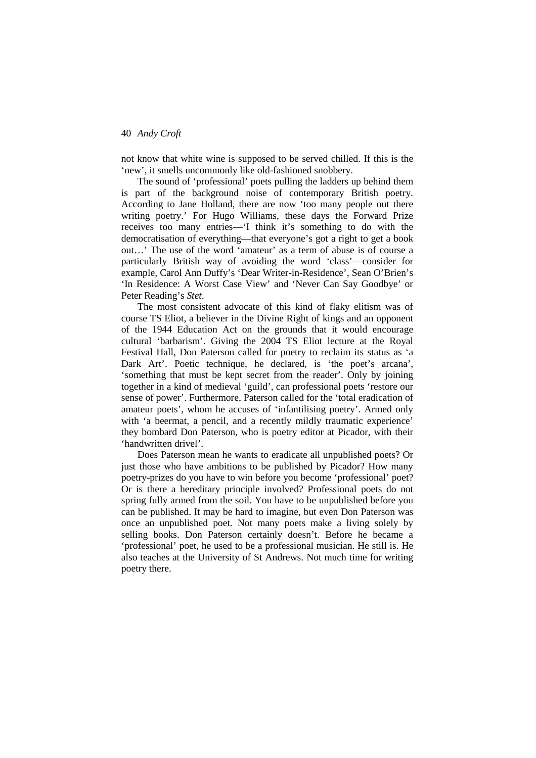not know that white wine is supposed to be served chilled. If this is the 'new', it smells uncommonly like old-fashioned snobbery.

The sound of 'professional' poets pulling the ladders up behind them is part of the background noise of contemporary British poetry. According to Jane Holland, there are now 'too many people out there writing poetry.' For Hugo Williams, these days the Forward Prize receives too many entries—'I think it's something to do with the democratisation of everything—that everyone's got a right to get a book out…' The use of the word 'amateur' as a term of abuse is of course a particularly British way of avoiding the word 'class'—consider for example, Carol Ann Duffy's 'Dear Writer-in-Residence', Sean O'Brien's 'In Residence: A Worst Case View' and 'Never Can Say Goodbye' or Peter Reading's *Stet*.

The most consistent advocate of this kind of flaky elitism was of course TS Eliot, a believer in the Divine Right of kings and an opponent of the 1944 Education Act on the grounds that it would encourage cultural 'barbarism'. Giving the 2004 TS Eliot lecture at the Royal Festival Hall, Don Paterson called for poetry to reclaim its status as 'a Dark Art'. Poetic technique, he declared, is 'the poet's arcana', 'something that must be kept secret from the reader'. Only by joining together in a kind of medieval 'guild', can professional poets 'restore our sense of power'. Furthermore, Paterson called for the 'total eradication of amateur poets', whom he accuses of 'infantilising poetry'. Armed only with 'a beermat, a pencil, and a recently mildly traumatic experience' they bombard Don Paterson, who is poetry editor at Picador, with their 'handwritten drivel'.

Does Paterson mean he wants to eradicate all unpublished poets? Or just those who have ambitions to be published by Picador? How many poetry-prizes do you have to win before you become 'professional' poet? Or is there a hereditary principle involved? Professional poets do not spring fully armed from the soil. You have to be unpublished before you can be published. It may be hard to imagine, but even Don Paterson was once an unpublished poet. Not many poets make a living solely by selling books. Don Paterson certainly doesn't. Before he became a 'professional' poet, he used to be a professional musician. He still is. He also teaches at the University of St Andrews. Not much time for writing poetry there.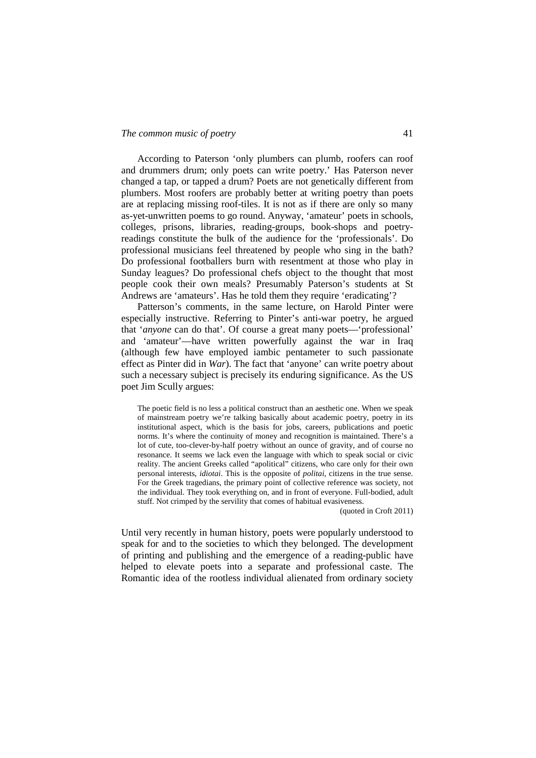According to Paterson 'only plumbers can plumb, roofers can roof and drummers drum; only poets can write poetry.' Has Paterson never changed a tap, or tapped a drum? Poets are not genetically different from plumbers. Most roofers are probably better at writing poetry than poets are at replacing missing roof-tiles. It is not as if there are only so many as-yet-unwritten poems to go round. Anyway, 'amateur' poets in schools, colleges, prisons, libraries, reading-groups, book-shops and poetryreadings constitute the bulk of the audience for the 'professionals'. Do professional musicians feel threatened by people who sing in the bath? Do professional footballers burn with resentment at those who play in Sunday leagues? Do professional chefs object to the thought that most people cook their own meals? Presumably Paterson's students at St Andrews are 'amateurs'. Has he told them they require 'eradicating'?

Patterson's comments, in the same lecture, on Harold Pinter were especially instructive. Referring to Pinter's anti-war poetry, he argued that '*anyone* can do that'. Of course a great many poets—'professional' and 'amateur'—have written powerfully against the war in Iraq (although few have employed iambic pentameter to such passionate effect as Pinter did in *War*). The fact that 'anyone' can write poetry about such a necessary subject is precisely its enduring significance. As the US poet Jim Scully argues:

The poetic field is no less a political construct than an aesthetic one. When we speak of mainstream poetry we're talking basically about academic poetry, poetry in its institutional aspect, which is the basis for jobs, careers, publications and poetic norms. It's where the continuity of money and recognition is maintained. There's a lot of cute, too-clever-by-half poetry without an ounce of gravity, and of course no resonance. It seems we lack even the language with which to speak social or civic reality. The ancient Greeks called "apolitical" citizens, who care only for their own personal interests, *idiotai*. This is the opposite of *politai*, citizens in the true sense. For the Greek tragedians, the primary point of collective reference was society, not the individual. They took everything on, and in front of everyone. Full-bodied, adult stuff. Not crimped by the servility that comes of habitual evasiveness.

(quoted in Croft 2011)

Until very recently in human history, poets were popularly understood to speak for and to the societies to which they belonged. The development of printing and publishing and the emergence of a reading-public have helped to elevate poets into a separate and professional caste. The Romantic idea of the rootless individual alienated from ordinary society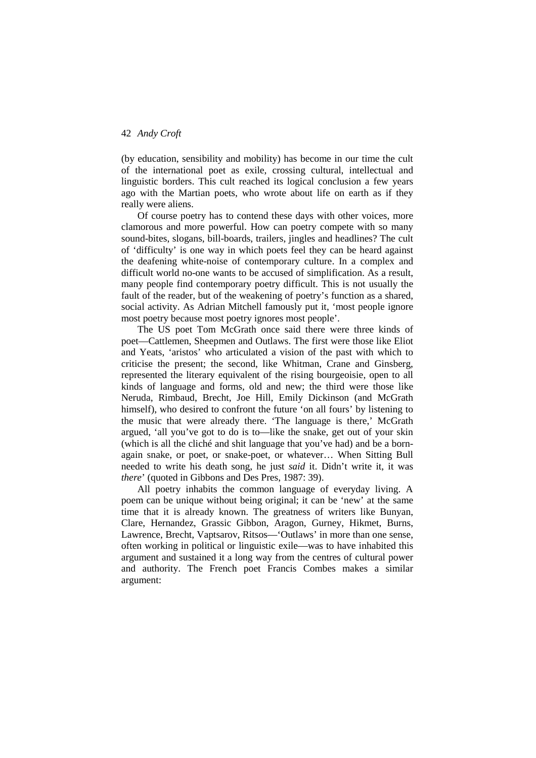(by education, sensibility and mobility) has become in our time the cult of the international poet as exile, crossing cultural, intellectual and linguistic borders. This cult reached its logical conclusion a few years ago with the Martian poets, who wrote about life on earth as if they really were aliens.

Of course poetry has to contend these days with other voices, more clamorous and more powerful. How can poetry compete with so many sound-bites, slogans, bill-boards, trailers, jingles and headlines? The cult of 'difficulty' is one way in which poets feel they can be heard against the deafening white-noise of contemporary culture. In a complex and difficult world no-one wants to be accused of simplification. As a result, many people find contemporary poetry difficult. This is not usually the fault of the reader, but of the weakening of poetry's function as a shared, social activity. As Adrian Mitchell famously put it, 'most people ignore most poetry because most poetry ignores most people'.

The US poet Tom McGrath once said there were three kinds of poet—Cattlemen, Sheepmen and Outlaws. The first were those like Eliot and Yeats, 'aristos' who articulated a vision of the past with which to criticise the present; the second, like Whitman, Crane and Ginsberg, represented the literary equivalent of the rising bourgeoisie, open to all kinds of language and forms, old and new; the third were those like Neruda, Rimbaud, Brecht, Joe Hill, Emily Dickinson (and McGrath himself), who desired to confront the future 'on all fours' by listening to the music that were already there. 'The language is there,' McGrath argued, 'all you've got to do is to—like the snake, get out of your skin (which is all the cliché and shit language that you've had) and be a bornagain snake, or poet, or snake-poet, or whatever… When Sitting Bull needed to write his death song, he just *said* it. Didn't write it, it was *there*' (quoted in Gibbons and Des Pres, 1987: 39).

All poetry inhabits the common language of everyday living. A poem can be unique without being original; it can be 'new' at the same time that it is already known. The greatness of writers like Bunyan, Clare, Hernandez, Grassic Gibbon, Aragon, Gurney, Hikmet, Burns, Lawrence, Brecht, Vaptsarov, Ritsos—'Outlaws' in more than one sense, often working in political or linguistic exile—was to have inhabited this argument and sustained it a long way from the centres of cultural power and authority. The French poet Francis Combes makes a similar argument: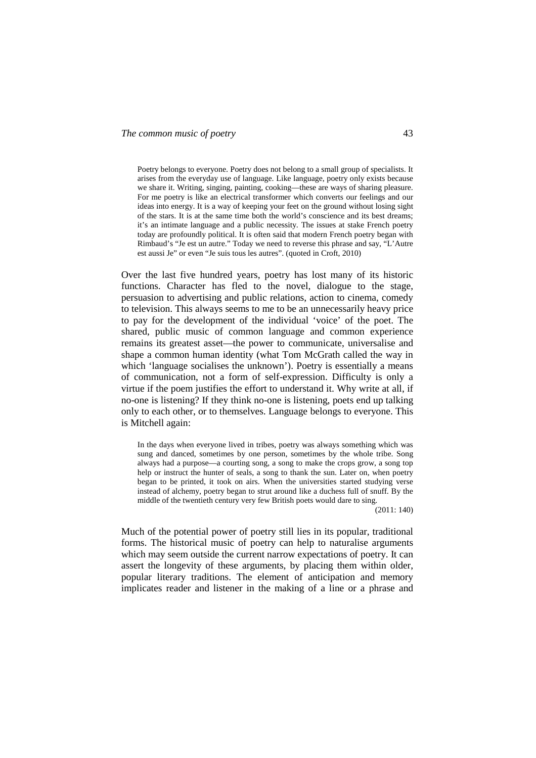Poetry belongs to everyone. Poetry does not belong to a small group of specialists. It arises from the everyday use of language. Like language, poetry only exists because we share it. Writing, singing, painting, cooking—these are ways of sharing pleasure. For me poetry is like an electrical transformer which converts our feelings and our ideas into energy. It is a way of keeping your feet on the ground without losing sight of the stars. It is at the same time both the world's conscience and its best dreams; it's an intimate language and a public necessity. The issues at stake French poetry today are profoundly political. It is often said that modern French poetry began with Rimbaud's "Je est un autre." Today we need to reverse this phrase and say, "L'Autre est aussi Je" or even "Je suis tous les autres". (quoted in Croft, 2010)

Over the last five hundred years, poetry has lost many of its historic functions. Character has fled to the novel, dialogue to the stage, persuasion to advertising and public relations, action to cinema, comedy to television. This always seems to me to be an unnecessarily heavy price to pay for the development of the individual 'voice' of the poet. The shared, public music of common language and common experience remains its greatest asset—the power to communicate, universalise and shape a common human identity (what Tom McGrath called the way in which 'language socialises the unknown'). Poetry is essentially a means of communication, not a form of self-expression. Difficulty is only a virtue if the poem justifies the effort to understand it. Why write at all, if no-one is listening? If they think no-one is listening, poets end up talking only to each other, or to themselves. Language belongs to everyone. This is Mitchell again:

In the days when everyone lived in tribes, poetry was always something which was sung and danced, sometimes by one person, sometimes by the whole tribe. Song always had a purpose—a courting song, a song to make the crops grow, a song top help or instruct the hunter of seals, a song to thank the sun. Later on, when poetry began to be printed, it took on airs. When the universities started studying verse instead of alchemy, poetry began to strut around like a duchess full of snuff. By the middle of the twentieth century very few British poets would dare to sing.

(2011: 140)

Much of the potential power of poetry still lies in its popular, traditional forms. The historical music of poetry can help to naturalise arguments which may seem outside the current narrow expectations of poetry. It can assert the longevity of these arguments, by placing them within older, popular literary traditions. The element of anticipation and memory implicates reader and listener in the making of a line or a phrase and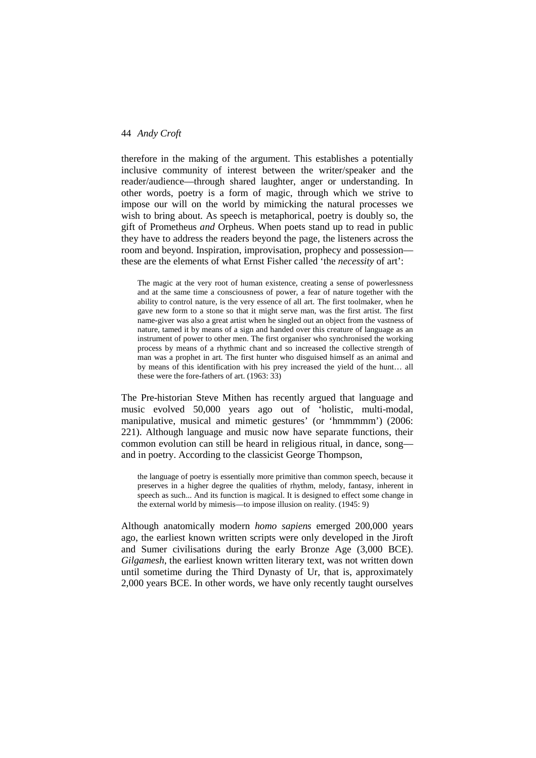therefore in the making of the argument. This establishes a potentially inclusive community of interest between the writer/speaker and the reader/audience—through shared laughter, anger or understanding. In other words, poetry is a form of magic, through which we strive to impose our will on the world by mimicking the natural processes we wish to bring about. As speech is metaphorical, poetry is doubly so, the gift of Prometheus *and* Orpheus. When poets stand up to read in public they have to address the readers beyond the page, the listeners across the room and beyond. Inspiration, improvisation, prophecy and possession these are the elements of what Ernst Fisher called 'the *necessity* of art':

The magic at the very root of human existence, creating a sense of powerlessness and at the same time a consciousness of power, a fear of nature together with the ability to control nature, is the very essence of all art. The first toolmaker, when he gave new form to a stone so that it might serve man, was the first artist. The first name-giver was also a great artist when he singled out an object from the vastness of nature, tamed it by means of a sign and handed over this creature of language as an instrument of power to other men. The first organiser who synchronised the working process by means of a rhythmic chant and so increased the collective strength of man was a prophet in art. The first hunter who disguised himself as an animal and by means of this identification with his prey increased the yield of the hunt… all these were the fore-fathers of art. (1963: 33)

The Pre-historian Steve Mithen has recently argued that language and music evolved 50,000 years ago out of 'holistic, multi-modal, manipulative, musical and mimetic gestures' (or 'hmmmmm') (2006: 221). Although language and music now have separate functions, their common evolution can still be heard in religious ritual, in dance, song and in poetry. According to the classicist George Thompson,

the language of poetry is essentially more primitive than common speech, because it preserves in a higher degree the qualities of rhythm, melody, fantasy, inherent in speech as such... And its function is magical. It is designed to effect some change in the external world by mimesis—to impose illusion on reality. (1945: 9)

Although anatomically modern *homo sapiens* emerged 200,000 years ago, the earliest known written scripts were only developed in the Jiroft and Sumer civilisations during the early Bronze Age (3,000 BCE). *Gilgamesh*, the earliest known written literary text, was not written down until sometime during the Third Dynasty of Ur, that is, approximately 2,000 years BCE. In other words, we have only recently taught ourselves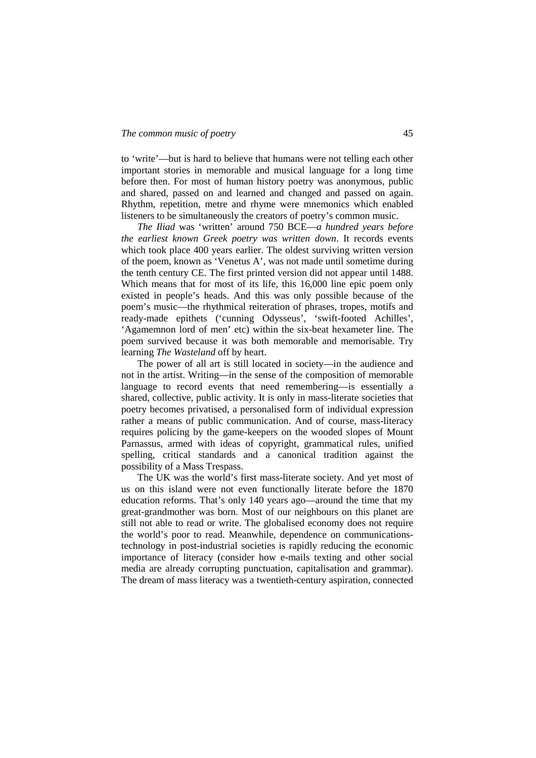to 'write'—but is hard to believe that humans were not telling each other important stories in memorable and musical language for a long time before then. For most of human history poetry was anonymous, public and shared, passed on and learned and changed and passed on again. Rhythm, repetition, metre and rhyme were mnemonics which enabled listeners to be simultaneously the creators of poetry's common music.

*The Iliad* was 'written' around 750 BCE—*a hundred years before the earliest known Greek poetry was written down*. It records events which took place 400 years earlier. The oldest surviving written version of the poem, known as 'Venetus A', was not made until sometime during the tenth century CE. The first printed version did not appear until 1488. Which means that for most of its life, this 16,000 line epic poem only existed in people's heads. And this was only possible because of the poem's music—the rhythmical reiteration of phrases, tropes, motifs and ready-made epithets ('cunning Odysseus', 'swift-footed Achilles', 'Agamemnon lord of men' etc) within the six-beat hexameter line. The poem survived because it was both memorable and memorisable. Try learning *The Wasteland* off by heart.

The power of all art is still located in society—in the audience and not in the artist. Writing—in the sense of the composition of memorable language to record events that need remembering—is essentially a shared, collective, public activity. It is only in mass-literate societies that poetry becomes privatised, a personalised form of individual expression rather a means of public communication. And of course, mass-literacy requires policing by the game-keepers on the wooded slopes of Mount Parnassus, armed with ideas of copyright, grammatical rules, unified spelling, critical standards and a canonical tradition against the possibility of a Mass Trespass.

The UK was the world's first mass-literate society. And yet most of us on this island were not even functionally literate before the 1870 education reforms. That's only 140 years ago—around the time that my great-grandmother was born. Most of our neighbours on this planet are still not able to read or write. The globalised economy does not require the world's poor to read. Meanwhile, dependence on communicationstechnology in post-industrial societies is rapidly reducing the economic importance of literacy (consider how e-mails texting and other social media are already corrupting punctuation, capitalisation and grammar). The dream of mass literacy was a twentieth-century aspiration, connected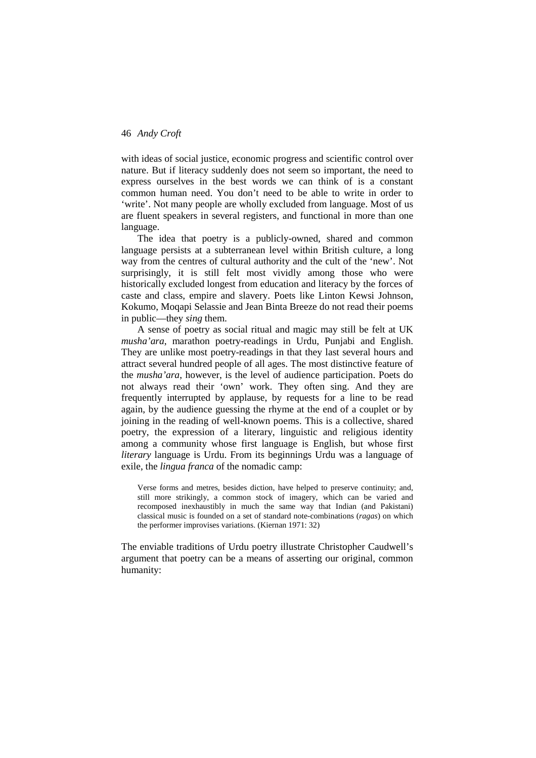with ideas of social justice, economic progress and scientific control over nature. But if literacy suddenly does not seem so important, the need to express ourselves in the best words we can think of is a constant common human need. You don't need to be able to write in order to 'write'. Not many people are wholly excluded from language. Most of us are fluent speakers in several registers, and functional in more than one language.

The idea that poetry is a publicly-owned, shared and common language persists at a subterranean level within British culture, a long way from the centres of cultural authority and the cult of the 'new'. Not surprisingly, it is still felt most vividly among those who were historically excluded longest from education and literacy by the forces of caste and class, empire and slavery. Poets like Linton Kewsi Johnson, Kokumo, Moqapi Selassie and Jean Binta Breeze do not read their poems in public—they *sing* them.

A sense of poetry as social ritual and magic may still be felt at UK *musha'ara*, marathon poetry-readings in Urdu, Punjabi and English. They are unlike most poetry-readings in that they last several hours and attract several hundred people of all ages. The most distinctive feature of the *musha'ara*, however, is the level of audience participation. Poets do not always read their 'own' work. They often sing. And they are frequently interrupted by applause, by requests for a line to be read again, by the audience guessing the rhyme at the end of a couplet or by joining in the reading of well-known poems. This is a collective, shared poetry, the expression of a literary, linguistic and religious identity among a community whose first language is English, but whose first *literary* language is Urdu. From its beginnings Urdu was a language of exile, the *lingua franca* of the nomadic camp:

Verse forms and metres, besides diction, have helped to preserve continuity; and, still more strikingly, a common stock of imagery, which can be varied and recomposed inexhaustibly in much the same way that Indian (and Pakistani) classical music is founded on a set of standard note-combinations (*ragas*) on which the performer improvises variations. (Kiernan 1971: 32)

The enviable traditions of Urdu poetry illustrate Christopher Caudwell's argument that poetry can be a means of asserting our original, common humanity: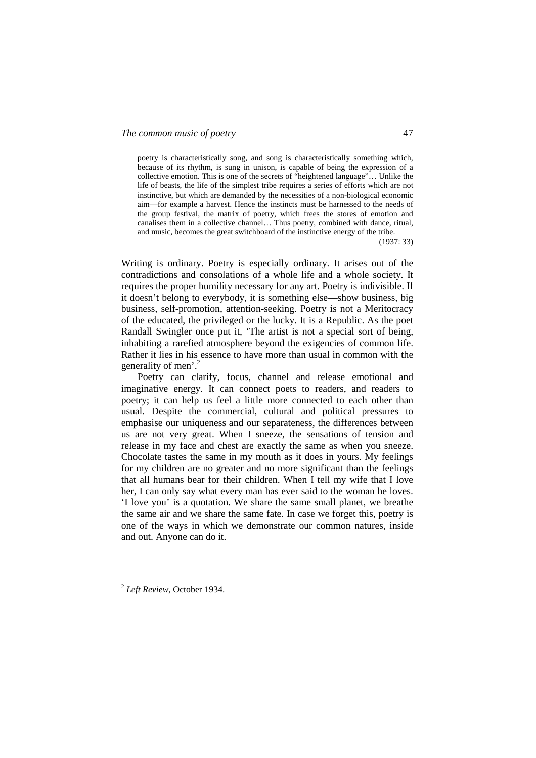poetry is characteristically song, and song is characteristically something which, because of its rhythm, is sung in unison, is capable of being the expression of a collective emotion. This is one of the secrets of "heightened language"… Unlike the life of beasts, the life of the simplest tribe requires a series of efforts which are not instinctive, but which are demanded by the necessities of a non-biological economic aim—for example a harvest. Hence the instincts must be harnessed to the needs of the group festival, the matrix of poetry, which frees the stores of emotion and canalises them in a collective channel… Thus poetry, combined with dance, ritual, and music, becomes the great switchboard of the instinctive energy of the tribe.

(1937: 33)

Writing is ordinary. Poetry is especially ordinary. It arises out of the contradictions and consolations of a whole life and a whole society. It requires the proper humility necessary for any art. Poetry is indivisible. If it doesn't belong to everybody, it is something else—show business, big business, self-promotion, attention-seeking. Poetry is not a Meritocracy of the educated, the privileged or the lucky. It is a Republic. As the poet Randall Swingler once put it, 'The artist is not a special sort of being, inhabiting a rarefied atmosphere beyond the exigencies of common life. Rather it lies in his essence to have more than usual in common with the generality of men'. $^{2}$ 

Poetry can clarify, focus, channel and release emotional and imaginative energy. It can connect poets to readers, and readers to poetry; it can help us feel a little more connected to each other than usual. Despite the commercial, cultural and political pressures to emphasise our uniqueness and our separateness, the differences between us are not very great. When I sneeze, the sensations of tension and release in my face and chest are exactly the same as when you sneeze. Chocolate tastes the same in my mouth as it does in yours. My feelings for my children are no greater and no more significant than the feelings that all humans bear for their children. When I tell my wife that I love her, I can only say what every man has ever said to the woman he loves. 'I love you' is a quotation. We share the same small planet, we breathe the same air and we share the same fate. In case we forget this, poetry is one of the ways in which we demonstrate our common natures, inside and out. Anyone can do it.

 $\overline{a}$ 

<sup>2</sup> *Left Review*, October 1934.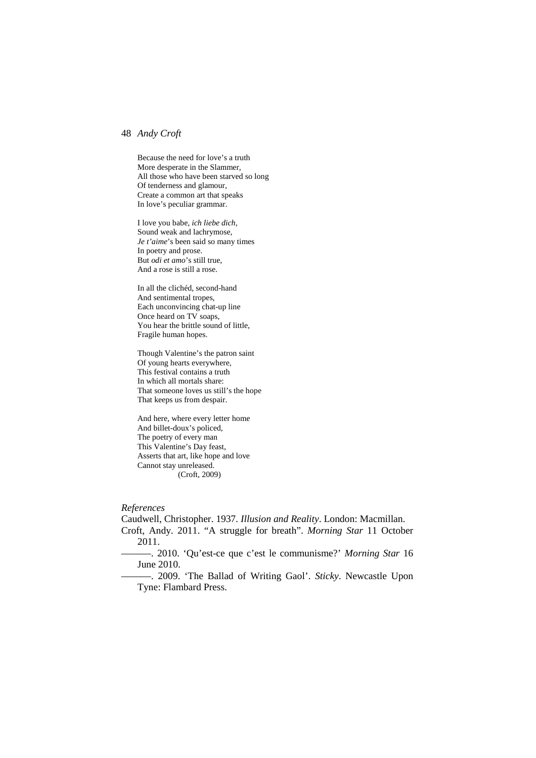Because the need for love's a truth More desperate in the Slammer, All those who have been starved so long Of tenderness and glamour, Create a common art that speaks In love's peculiar grammar.

I love you babe, *ich liebe dich,*  Sound weak and lachrymose, *Je t'aime*'s been said so many times In poetry and prose. But *odi et amo*'s still true, And a rose is still a rose.

In all the clichéd, second-hand And sentimental tropes, Each unconvincing chat-up line Once heard on TV soaps, You hear the brittle sound of little, Fragile human hopes.

Though Valentine's the patron saint Of young hearts everywhere, This festival contains a truth In which all mortals share: That someone loves us still's the hope That keeps us from despair.

And here, where every letter home And billet-doux's policed, The poetry of every man This Valentine's Day feast, Asserts that art, like hope and love Cannot stay unreleased. (Croft, 2009)

### *References*

Caudwell, Christopher. 1937. *Illusion and Reality*. London: Macmillan. Croft, Andy. 2011. "A struggle for breath". *Morning Star* 11 October 2011.

———. 2010. 'Qu'est-ce que c'est le communisme?' *Morning Star* 16 June 2010.

———. 2009. 'The Ballad of Writing Gaol'. *Sticky*. Newcastle Upon Tyne: Flambard Press.